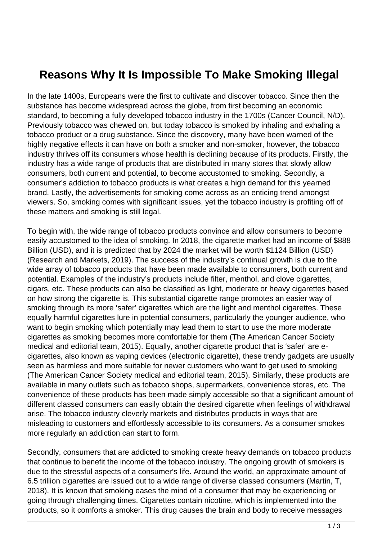## **Reasons Why It Is Impossible To Make Smoking Illegal**

In the late 1400s, Europeans were the first to cultivate and discover tobacco. Since then the substance has become widespread across the globe, from first becoming an economic standard, to becoming a fully developed tobacco industry in the 1700s (Cancer Council, N/D). Previously tobacco was chewed on, but today tobacco is smoked by inhaling and exhaling a tobacco product or a drug substance. Since the discovery, many have been warned of the highly negative effects it can have on both a smoker and non-smoker, however, the tobacco industry thrives off its consumers whose health is declining because of its products. Firstly, the industry has a wide range of products that are distributed in many stores that slowly allow consumers, both current and potential, to become accustomed to smoking. Secondly, a consumer's addiction to tobacco products is what creates a high demand for this yearned brand. Lastly, the advertisements for smoking come across as an enticing trend amongst viewers. So, smoking comes with significant issues, yet the tobacco industry is profiting off of these matters and smoking is still legal.

To begin with, the wide range of tobacco products convince and allow consumers to become easily accustomed to the idea of smoking. In 2018, the cigarette market had an income of \$888 Billion (USD), and it is predicted that by 2024 the market will be worth \$1124 Billion (USD) (Research and Markets, 2019). The success of the industry's continual growth is due to the wide array of tobacco products that have been made available to consumers, both current and potential. Examples of the industry's products include filter, menthol, and clove cigarettes, cigars, etc. These products can also be classified as light, moderate or heavy cigarettes based on how strong the cigarette is. This substantial cigarette range promotes an easier way of smoking through its more 'safer' cigarettes which are the light and menthol cigarettes. These equally harmful cigarettes lure in potential consumers, particularly the younger audience, who want to begin smoking which potentially may lead them to start to use the more moderate cigarettes as smoking becomes more comfortable for them (The American Cancer Society medical and editorial team, 2015). Equally, another cigarette product that is 'safer' are ecigarettes, also known as vaping devices (electronic cigarette), these trendy gadgets are usually seen as harmless and more suitable for newer customers who want to get used to smoking (The American Cancer Society medical and editorial team, 2015). Similarly, these products are available in many outlets such as tobacco shops, supermarkets, convenience stores, etc. The convenience of these products has been made simply accessible so that a significant amount of different classed consumers can easily obtain the desired cigarette when feelings of withdrawal arise. The tobacco industry cleverly markets and distributes products in ways that are misleading to customers and effortlessly accessible to its consumers. As a consumer smokes more regularly an addiction can start to form.

Secondly, consumers that are addicted to smoking create heavy demands on tobacco products that continue to benefit the income of the tobacco industry. The ongoing growth of smokers is due to the stressful aspects of a consumer's life. Around the world, an approximate amount of 6.5 trillion cigarettes are issued out to a wide range of diverse classed consumers (Martin, T, 2018). It is known that smoking eases the mind of a consumer that may be experiencing or going through challenging times. Cigarettes contain nicotine, which is implemented into the products, so it comforts a smoker. This drug causes the brain and body to receive messages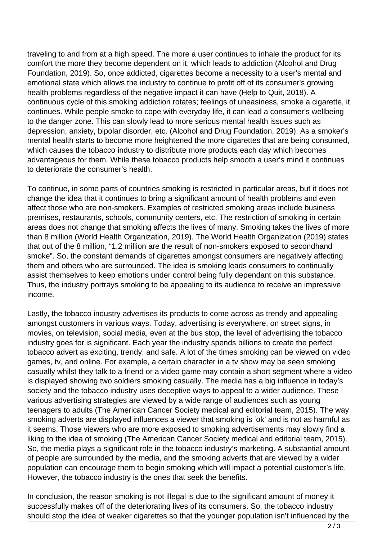traveling to and from at a high speed. The more a user continues to inhale the product for its comfort the more they become dependent on it, which leads to addiction (Alcohol and Drug Foundation, 2019). So, once addicted, cigarettes become a necessity to a user's mental and emotional state which allows the industry to continue to profit off of its consumer's growing health problems regardless of the negative impact it can have (Help to Quit, 2018). A continuous cycle of this smoking addiction rotates; feelings of uneasiness, smoke a cigarette, it continues. While people smoke to cope with everyday life, it can lead a consumer's wellbeing to the danger zone. This can slowly lead to more serious mental health issues such as depression, anxiety, bipolar disorder, etc. (Alcohol and Drug Foundation, 2019). As a smoker's mental health starts to become more heightened the more cigarettes that are being consumed, which causes the tobacco industry to distribute more products each day which becomes advantageous for them. While these tobacco products help smooth a user's mind it continues to deteriorate the consumer's health.

To continue, in some parts of countries smoking is restricted in particular areas, but it does not change the idea that it continues to bring a significant amount of health problems and even affect those who are non-smokers. Examples of restricted smoking areas include business premises, restaurants, schools, community centers, etc. The restriction of smoking in certain areas does not change that smoking affects the lives of many. Smoking takes the lives of more than 8 million (World Health Organization, 2019). The World Health Organization (2019) states that out of the 8 million, "1.2 million are the result of non-smokers exposed to secondhand smoke". So, the constant demands of cigarettes amongst consumers are negatively affecting them and others who are surrounded. The idea is smoking leads consumers to continually assist themselves to keep emotions under control being fully dependant on this substance. Thus, the industry portrays smoking to be appealing to its audience to receive an impressive income.

Lastly, the tobacco industry advertises its products to come across as trendy and appealing amongst customers in various ways. Today, advertising is everywhere, on street signs, in movies, on television, social media, even at the bus stop, the level of advertising the tobacco industry goes for is significant. Each year the industry spends billions to create the perfect tobacco advert as exciting, trendy, and safe. A lot of the times smoking can be viewed on video games, tv, and online. For example, a certain character in a tv show may be seen smoking casually whilst they talk to a friend or a video game may contain a short segment where a video is displayed showing two soldiers smoking casually. The media has a big influence in today's society and the tobacco industry uses deceptive ways to appeal to a wider audience. These various advertising strategies are viewed by a wide range of audiences such as young teenagers to adults (The American Cancer Society medical and editorial team, 2015). The way smoking adverts are displayed influences a viewer that smoking is 'ok' and is not as harmful as it seems. Those viewers who are more exposed to smoking advertisements may slowly find a liking to the idea of smoking (The American Cancer Society medical and editorial team, 2015). So, the media plays a significant role in the tobacco industry's marketing. A substantial amount of people are surrounded by the media, and the smoking adverts that are viewed by a wider population can encourage them to begin smoking which will impact a potential customer's life. However, the tobacco industry is the ones that seek the benefits.

In conclusion, the reason smoking is not illegal is due to the significant amount of money it successfully makes off of the deteriorating lives of its consumers. So, the tobacco industry should stop the idea of weaker cigarettes so that the younger population isn't influenced by the